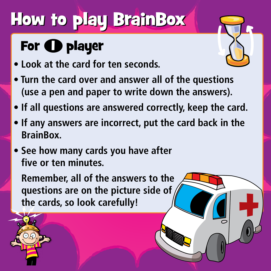## **How to play BrainBox**

## For  $\bigoplus$  player

- **Look at the card for ten seconds.**
- **Turn the card over and answer all of the questions (use a pen and paper to write down the answers).**
- **If all questions are answered correctly, keep the card.**
- **If any answers are incorrect, put the card back in the BrainBox.**
- **See how many cards you have after five or ten minutes.**

**Remember, all of the answers to the questions are on the picture side of the cards, so look carefully!**